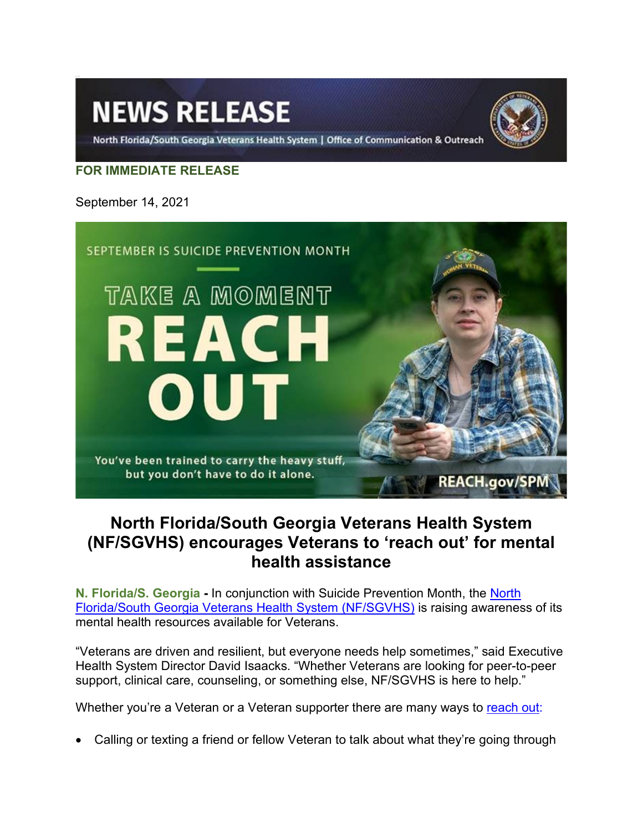# **NEWS RELEASE**



North Florida/South Georgia Veterans Health System | Office of Communication & Outreach

## **FOR IMMEDIATE RELEASE**

September 14, 2021



# **North Florida/South Georgia Veterans Health System (NF/SGVHS) encourages Veterans to 'reach out' for mental health assistance**

**N. Florida/S. Georgia -** In conjunction with Suicide Prevention Month, the North [Florida/South Georgia Veterans Health System \(NF/SGVHS\)](https://www.northflorida.va.gov/NORTHFLORIDA/index.asp) is raising awareness of its mental health resources available for Veterans.

"Veterans are driven and resilient, but everyone needs help sometimes," said Executive Health System Director David Isaacks. "Whether Veterans are looking for peer-to-peer support, clinical care, counseling, or something else, NF/SGVHS is here to help."

Whether you're a Veteran or a Veteran supporter there are many ways to [reach out:](https://www.va.gov/reach/spm/)

• Calling or texting a friend or fellow Veteran to talk about what they're going through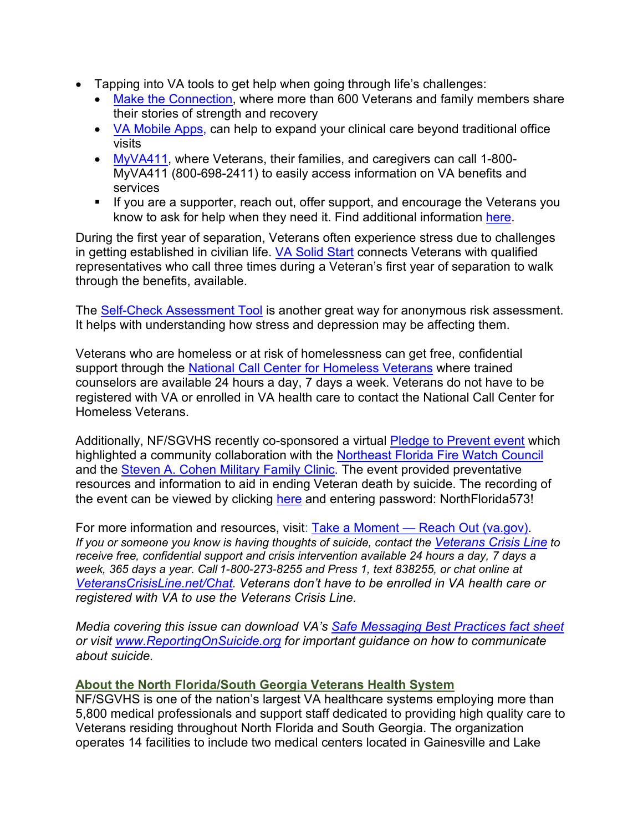- Tapping into VA tools to get help when going through life's challenges:
	- [Make the Connection,](https://www.maketheconnection.net/) where more than 600 Veterans and family members share their stories of strength and recovery
	- [VA Mobile Apps,](https://mobile.va.gov/app/virtual-care-manager) can help to expand your clinical care beyond traditional office visits
	- [MyVA411,](https://www.va.gov/contact-us/) where Veterans, their families, and caregivers can call 1-800- MyVA411 (800-698-2411) to easily access information on VA benefits and services
	- If you are a supporter, reach out, offer support, and encourage the Veterans you know to ask for help when they need it. Find additional information [here.](https://www.northflorida.va.gov/NORTHFLORIDA/services/Mental_Health.asp)

During the first year of separation, Veterans often experience stress due to challenges in getting established in civilian life. [VA Solid Start](https://www.benefits.va.gov/transition/solid-start.asp) connects Veterans with qualified representatives who call three times during a Veteran's first year of separation to walk through the benefits, available.

The [Self-Check Assessment Tool](https://www.vetselfcheck.org/welcome.cfm) is another great way for anonymous risk assessment. It helps with understanding how stress and depression may be affecting them.

Veterans who are homeless or at risk of homelessness can get free, confidential support through the [National Call Center for Homeless Veterans](https://www.va.gov/HOMELESS/NationalCallCenter.asp) where trained counselors are available 24 hours a day, 7 days a week. Veterans do not have to be registered with VA or enrolled in VA health care to contact the National Call Center for Homeless Veterans.

Additionally, NF/SGVHS recently co-sponsored a virtual [Pledge to Prevent event](https://www.northflorida.va.gov/NORTHFLORIDA/pressreleases/NF_SGVHS_to_Co_Sponsor_Virtual_Suicide_Prevention_Event.asp) which highlighted a community collaboration with the [Northeast Florida Fire Watch Council](https://www.jacksonville.com/news/20190930/jacksonville-and-4-area-counties-announce-fire-watch-program-to-extinguish-veteran-suicides) and the [Steven A. Cohen Military Family Clinic.](https://centerstone.org/cohen-military-family-clinic/jacksonville/) The event provided preventative resources and information to aid in ending Veteran death by suicide. The recording of the event can be viewed by clicking [here](https://gcc02.safelinks.protection.outlook.com/?url=https%3A%2F%2Fveteransaffairs.webex.com%2Frecordingservice%2Fsites%2Fveteransaffairs%2Frecording%2F95af6ecbf4711039bd67005056b0d988%2Fplayback&data=04%7C01%7C%7C068be0f8066b4ddcd86108d976dc2874%7Ce95f1b23abaf45ee821db7ab251ab3bf%7C0%7C0%7C637671510199125842%7CUnknown%7CTWFpbGZsb3d8eyJWIjoiMC4wLjAwMDAiLCJQIjoiV2luMzIiLCJBTiI6Ik1haWwiLCJXVCI6Mn0%3D%7C1000&sdata=tQ1zTEjZOe3SXvJZQevcs90C8aVj3LpAkfm981GHLu8%3D&reserved=0) and entering password: NorthFlorida573!

For more information and resources, visit: Take a Moment — [Reach Out \(va.gov\).](https://www.va.gov/reach/spm/) *If you or someone you know is having thoughts of suicide, contact the [Veterans Crisis Line](https://www.veteranscrisisline.net/) to receive free, confidential support and crisis intervention available 24 hours a day, 7 days a week, 365 days a year. Call 1-800-273-8255 and Press 1, text 838255, or chat online at [VeteransCrisisLine.net/Chat.](https://www.veteranscrisisline.net/get-help/chat) Veterans don't have to be enrolled in VA health care or registered with VA to use the Veterans Crisis Line.*

*Media covering this issue can download VA's [Safe Messaging Best Practices fact sheet](https://www.mentalhealth.va.gov/suicide_prevention/docs/OMH-086-VA-OMHSP-Safe-Messaging-Factsheet-4-9-2019.pdf) or visit [www.ReportingOnSuicide.org](https://reportingonsuicide.org/) for important guidance on how to communicate about suicide.*

### **About the North Florida/South Georgia Veterans Health System**

NF/SGVHS is one of the nation's largest VA healthcare systems employing more than 5,800 medical professionals and support staff dedicated to providing high quality care to Veterans residing throughout North Florida and South Georgia. The organization operates 14 facilities to include two medical centers located in Gainesville and Lake